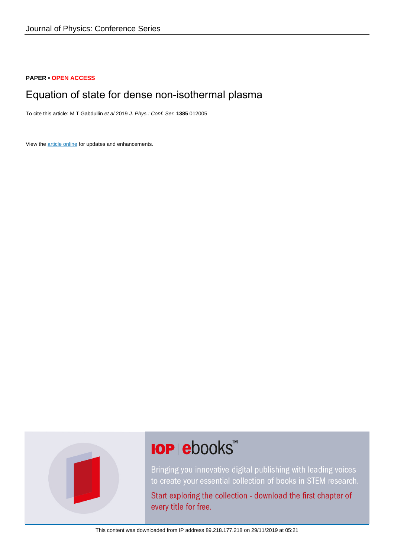### **PAPER • OPEN ACCESS**

## Equation of state for dense non-isothermal plasma

To cite this article: M T Gabdullin et al 2019 J. Phys.: Conf. Ser. **1385** 012005

View the [article online](https://doi.org/10.1088/1742-6596/1385/1/012005) for updates and enhancements.



# **IOP ebooks™**

Bringing you innovative digital publishing with leading voices to create your essential collection of books in STEM research.

Start exploring the collection - download the first chapter of every title for free.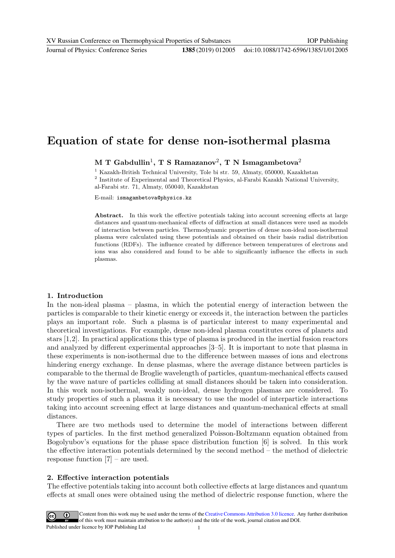Journal of Physics: Conference Series **1385** (2019) 012005

## Equation of state for dense non-isothermal plasma

M T Gabdullin<sup>1</sup>, T S Ramazanov<sup>2</sup>, T N Ismagambetova<sup>2</sup>

<sup>1</sup> Kazakh-British Technical University, Tole bi str. 59, Almaty, 050000, Kazakhstan <sup>2</sup> Institute of Experimental and Theoretical Physics, al-Farabi Kazakh National University, al-Farabi str. 71, Almaty, 050040, Kazakhstan

E-mail: ismagambetova@physics.kz

Abstract. In this work the effective potentials taking into account screening effects at large distances and quantum-mechanical effects of diffraction at small distances were used as models of interaction between particles. Thermodynamic properties of dense non-ideal non-isothermal plasma were calculated using these potentials and obtained on their basis radial distribution functions (RDFs). The influence created by difference between temperatures of electrons and ions was also considered and found to be able to significantly influence the effects in such plasmas.

#### 1. Introduction

In the non-ideal plasma – plasma, in which the potential energy of interaction between the particles is comparable to their kinetic energy or exceeds it, the interaction between the particles plays an important role. Such a plasma is of particular interest to many experimental and theoretical investigations. For example, dense non-ideal plasma constitutes cores of planets and stars [1,2]. In practical applications this type of plasma is produced in the inertial fusion reactors and analyzed by different experimental approaches [3–5]. It is important to note that plasma in these experiments is non-isothermal due to the difference between masses of ions and electrons hindering energy exchange. In dense plasmas, where the average distance between particles is comparable to the thermal de Broglie wavelength of particles, quantum-mechanical effects caused by the wave nature of particles colliding at small distances should be taken into consideration. In this work non-isothermal, weakly non-ideal, dense hydrogen plasmas are considered. To study properties of such a plasma it is necessary to use the model of interparticle interactions taking into account screening effect at large distances and quantum-mechanical effects at small distances.

There are two methods used to determine the model of interactions between different types of particles. In the first method generalized Poisson-Boltzmann equation obtained from Bogolyubov's equations for the phase space distribution function [6] is solved. In this work the effective interaction potentials determined by the second method – the method of dielectric response function [7] – are used.

#### 2. Effective interaction potentials

The effective potentials taking into account both collective effects at large distances and quantum effects at small ones were obtained using the method of dielectric response function, where the

Content from this work may be used under the terms of theCreative Commons Attribution 3.0 licence. Any further distribution of this work must maintain attribution to the author(s) and the title of the work, journal citation and DOI. Published under licence by IOP Publishing Ltd 1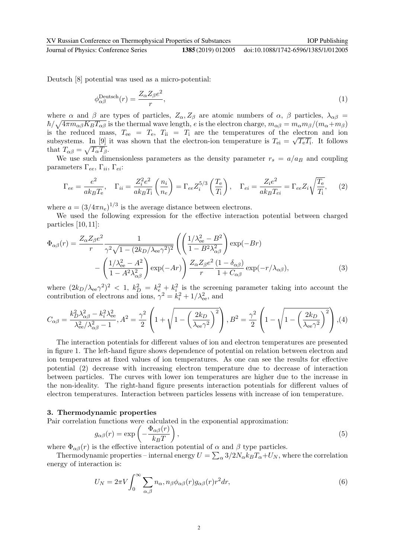Journal of Physics: Conference Series **1385** (2019) 012005

doi:10.1088/1742-6596/1385/1/012005

Deutsch [8] potential was used as a micro-potential:

$$
\phi_{\alpha\beta}^{\text{Deutsch}}(r) = \frac{Z_{\alpha}Z_{\beta}e^2}{r},\tag{1}
$$

where  $\alpha$  and  $\beta$  are types of particles,  $Z_{\alpha}, Z_{\beta}$  are atomic numbers of  $\alpha$ ,  $\beta$  particles,  $\lambda_{\alpha\beta}$  =  $\hbar/\sqrt{4\pi m_{\alpha\beta}K_BT_{\alpha\beta}}$  is the thermal wave length, e is the electron charge,  $m_{\alpha\beta}=m_\alpha m_\beta/(m_\alpha+m_\beta)$ is the reduced mass,  $T_{ee} = T_e$ ,  $T_{ii} = T_i$  are the temperatures of the electron and ion subsystems. In [9] it was shown that the electron-ion temperature is  $T_{\text{ei}} = \sqrt{T_{\text{e}}T_{\text{i}}}$ . It follows that  $T_{\alpha\beta} = \sqrt{T_{\alpha}T_{\beta}}$ .

We use such dimensionless parameters as the density parameter  $r_s = a/a_B$  and coupling parameters  $\Gamma_{ee}$ ,  $\Gamma_{ii}$ ,  $\Gamma_{ei}$ :

$$
\Gamma_{ee} = \frac{e^2}{ak_B T_e}, \quad \Gamma_{ii} = \frac{Z_i^2 e^2}{ak_B T_i} \left(\frac{n_i}{n_e}\right) = \Gamma_{ee} Z_i^{5/3} \left(\frac{T_e}{T_i}\right), \quad \Gamma_{ei} = \frac{Z_i e^2}{ak_B T_{ei}} = \Gamma_{ee} Z_i \sqrt{\frac{T_e}{T_i}}, \tag{2}
$$

where  $a = (3/4\pi n_e)^{1/3}$  is the average distance between electrons.

We used the following expression for the effective interaction potential between charged particles [10, 11]:

$$
\Phi_{\alpha\beta}(r) = \frac{Z_{\alpha}Z_{\beta}e^2}{r} \frac{1}{\gamma^2 \sqrt{1 - (2k_D/\lambda_{\text{ee}}\gamma^2)^2}} \left( \left(\frac{1/\lambda_{\text{ee}}^2 - B^2}{1 - B^2 \lambda_{\alpha\beta}^2}\right) \exp(-Br) - \left(\frac{1/\lambda_{\text{ee}}^2 - A^2}{1 - A^2 \lambda_{\alpha\beta}^2}\right) \exp(-Ar) \right) \frac{Z_{\alpha}Z_{\beta}e^2}{r} \frac{(1 - \delta_{\alpha\beta})}{1 + C_{\alpha\beta}} \exp(-r/\lambda_{\alpha\beta}),
$$
\n(3)

where  $(2k_D/\lambda_{\rm ee}\gamma^2)^2 < 1$ ,  $k_D^2 = k_e^2 + k_i^2$  is the screening parameter taking into account the contribution of electrons and ions,  $\gamma^2 = \dot{k}_i^2 + 1/\lambda_{\text{ee}}^2$ , and

$$
C_{\alpha\beta} = \frac{k_D^2 \lambda_{\alpha\beta}^2 - k_i^2 \lambda_{\text{ee}}^2}{\lambda_{\text{ee}}^2 / \lambda_{\alpha\beta}^2 - 1}, A^2 = \frac{\gamma^2}{2} \left( 1 + \sqrt{1 - \left(\frac{2k_D}{\lambda_{\text{ee}}\gamma^2}\right)^2} \right), B^2 = \frac{\gamma^2}{2} \left( 1 - \sqrt{1 - \left(\frac{2k_D}{\lambda_{\text{ee}}\gamma^2}\right)^2} \right), (4)
$$

The interaction potentials for different values of ion and electron temperatures are presented in figure 1. The left-hand figure shows dependence of potential on relation between electron and ion temperatures at fixed values of ion temperatures. As one can see the results for effective potential (2) decrease with increasing electron temperature due to decrease of interaction between particles. The curves with lower ion temperatures are higher due to the increase in the non-ideality. The right-hand figure presents interaction potentials for different values of electron temperatures. Interaction between particles lessens with increase of ion temperature.

#### 3. Thermodynamic properties

Pair correlation functions were calculated in the exponential approximation:

$$
g_{\alpha\beta}(r) = \exp\left(-\frac{\Phi_{\alpha\beta}(r)}{k_B T}\right),\tag{5}
$$

where  $\Phi_{\alpha\beta}(r)$  is the effective interaction potential of  $\alpha$  and  $\beta$  type particles.

Thermodynamic properties – internal energy  $U = \sum_{\alpha} 3/2N_{\alpha} k_B T_{\alpha} + U_N$ , where the correlation energy of interaction is:

$$
U_N = 2\pi V \int_0^\infty \sum_{\alpha,\beta} n_\alpha, n_\beta \phi_{\alpha\beta}(r) g_{\alpha\beta}(r) r^2 dr,\tag{6}
$$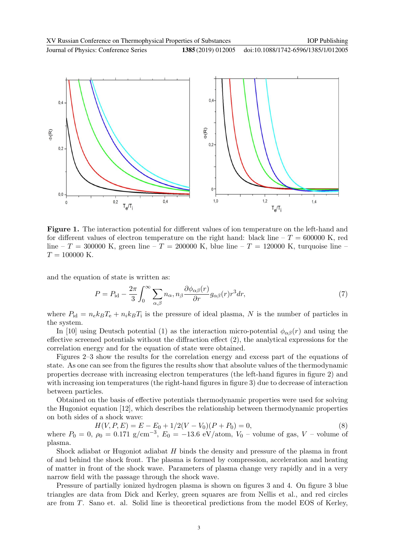

Figure 1. The interaction potential for different values of ion temperature on the left-hand and for different values of electron temperature on the right hand: black line –  $T = 600000$  K, red line – T = 300000 K, green line – T = 200000 K, blue line – T = 120000 K, turquoise line –  $T = 100000$  K.

and the equation of state is written as:

$$
P = P_{\rm id} - \frac{2\pi}{3} \int_0^\infty \sum_{\alpha,\beta} n_\alpha, n_\beta \frac{\partial \phi_{\alpha\beta}(r)}{\partial r} g_{\alpha\beta}(r) r^3 dr,\tag{7}
$$

where  $P_{\rm id} = n_e k_B T_e + n_i k_B T_i$  is the pressure of ideal plasma, N is the number of particles in the system.

In [10] using Deutsch potential (1) as the interaction micro-potential  $\phi_{\alpha\beta}(r)$  and using the effective screened potentials without the diffraction effect (2), the analytical expressions for the correlation energy and for the equation of state were obtained.

Figures 2–3 show the results for the correlation energy and excess part of the equations of state. As one can see from the figures the results show that absolute values of the thermodynamic properties decrease with increasing electron temperatures (the left-hand figures in figure 2) and with increasing ion temperatures (the right-hand figures in figure 3) due to decrease of interaction between particles.

Obtained on the basis of effective potentials thermodynamic properties were used for solving the Hugoniot equation [12], which describes the relationship between thermodynamic properties on both sides of a shock wave:

 $H(V, P, E) = E - E_0 + 1/2(V - V_0)(P + P_0) = 0,$  (8) where  $P_0 = 0$ ,  $\rho_0 = 0.171$  g/cm<sup>-3</sup>,  $E_0 = -13.6$  eV/atom,  $V_0$  – volume of gas, V – volume of plasma.

Shock adiabat or Hugoniot adiabat H binds the density and pressure of the plasma in front of and behind the shock front. The plasma is formed by compression, acceleration and heating of matter in front of the shock wave. Parameters of plasma change very rapidly and in a very narrow field with the passage through the shock wave.

Pressure of partially ionized hydrogen plasma is shown on figures 3 and 4. On figure 3 blue triangles are data from Dick and Kerley, green squares are from Nellis et al., and red circles are from T. Sano et. al. Solid line is theoretical predictions from the model EOS of Kerley,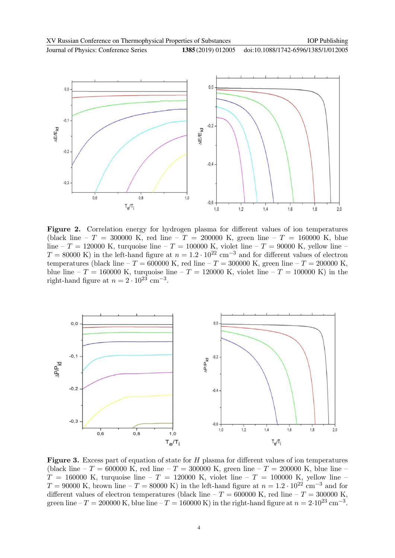doi:10.1088/1742-6596/1385/1/012005



Figure 2. Correlation energy for hydrogen plasma for different values of ion temperatures (black line –  $T = 300000 \text{ K}$ , red line –  $T = 200000 \text{ K}$ , green line –  $T = 160000 \text{ K}$ , blue line –  $T = 120000$  K, turquoise line –  $T = 100000$  K, violet line –  $T = 90000$  K, yellow line –  $T = 80000 \text{ K}$ ) in the left-hand figure at  $n = 1.2 \cdot 10^{22} \text{ cm}^{-3}$  and for different values of electron temperatures (black line –  $T = 600000$  K, red line –  $T = 300000$  K, green line –  $T = 200000$  K, blue line –  $T = 160000$  K, turquoise line –  $T = 120000$  K, violet line –  $T = 100000$  K) in the right-hand figure at  $n = 2 \cdot 10^{23}$  cm<sup>-3</sup>.



**Figure 3.** Excess part of equation of state for  $H$  plasma for different values of ion temperatures (black line –  $T = 600000$  K, red line –  $T = 300000$  K, green line –  $T = 200000$  K, blue line –  $T = 160000$  K, turquoise line –  $T = 120000$  K, violet line –  $T = 100000$  K, yellow line –  $T = 90000 \text{ K}$ , brown line –  $T = 80000 \text{ K}$ ) in the left-hand figure at  $n = 1.2 \cdot 10^{22} \text{ cm}^{-3}$  and for different values of electron temperatures (black line –  $T = 600000$  K, red line –  $T = 300000$  K, green line – T = 200000 K, blue line – T = 160000 K) in the right-hand figure at  $n = 2.10^{23}$  cm<sup>-3</sup>.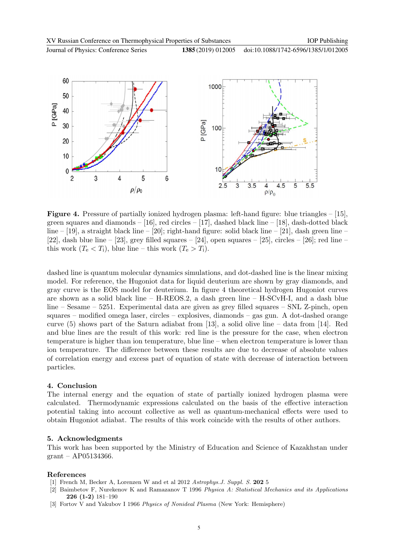doi:10.1088/1742-6596/1385/1/012005



Figure 4. Pressure of partially ionized hydrogen plasma: left-hand figure: blue triangles – [15], green squares and diamonds  $-$  [16], red circles  $-$  [17], dashed black line  $-$  [18], dash-dotted black line – [19], a straight black line – [20]; right-hand figure: solid black line – [21], dash green line – [22], dash blue line – [23], grey filled squares – [24], open squares – [25], circles – [26]; red line – this work  $(T_e < T_i)$ , blue line – this work  $(T_e > T_i)$ .

dashed line is quantum molecular dynamics simulations, and dot-dashed line is the linear mixing model. For reference, the Hugoniot data for liquid deuterium are shown by gray diamonds, and gray curve is the EOS model for deuterium. In figure 4 theoretical hydrogen Hugoniot curves are shown as a solid black line –  $H-REOS.2$ , a dash green line –  $H-SCvH-I$ , and a dash blue line – Sesame – 5251. Experimental data are given as grey filled squares – SNL Z-pinch, open squares – modified omega laser, circles – explosives, diamonds – gas gun. A dot-dashed orange curve (5) shows part of the Saturn adiabat from [13], a solid olive line – data from [14]. Red and blue lines are the result of this work: red line is the pressure for the case, when electron temperature is higher than ion temperature, blue line – when electron temperature is lower than ion temperature. The difference between these results are due to decrease of absolute values of correlation energy and excess part of equation of state with decrease of interaction between particles.

#### 4. Conclusion

The internal energy and the equation of state of partially ionized hydrogen plasma were calculated. Thermodynamic expressions calculated on the basis of the effective interaction potential taking into account collective as well as quantum-mechanical effects were used to obtain Hugoniot adiabat. The results of this work coincide with the results of other authors.

#### 5. Acknowledgments

This work has been supported by the Ministry of Education and Science of Kazakhstan under grant – AP05134366.

#### References

- [1] French M, Becker A, Lorenzen W and et al 2012 Astrophys.J. Suppl. S. 202 5
- [2] Baimbetov F, Nurekenov K and Ramazanov T 1996 Physica A: Statistical Mechanics and its Applications 226 (1-2) 181–190
- [3] Fortov V and Yakubov I 1966 Physics of Nonideal Plasma (New York: Hemisphere)